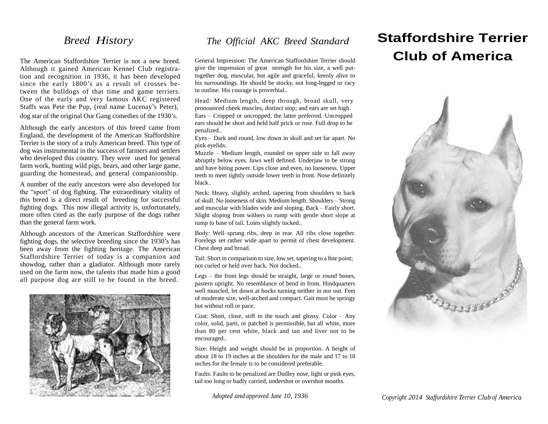## *Breed History*

The American Staffordshire Terrier is not a new breed. Although it gained American Kennel Club registration and recognition in 1936, it has been developed since the early 1800's as a result of crosses between the bulldogs of that time and game terriers. One of the early and very famous AKC registered Staffs was Pete the Pup, (real name Lucenay's Peter), dog star of the original Our Gang comedies of the 1930's.

Although the early ancestors of this breed came from England, the development of the American Staffordshire Terrier is the story of a truly American breed. This type of dog was instrumental in the success of farmers and settlers who developed this country. They were used for general farm work, hunting wild pigs, bears, and other large game, guarding the homestead, and general companionship.

A number of the early ancestors were also developed for the "sport" of dog fighting. The extraordinary vitality of this breed is a direct result of breeding for successful fighting dogs. This now illegal activity is, unfortunately, more often cited as the early purpose of the dogs rather than the general farm work.

Although ancestors of the American Staffordshire were fighting dogs, the selective breeding since the 1930's has been away from the fighting heritage. The American Staffordshire Terrier of today is a companion and showdog, rather than a gladiator. Although more rarely used on the farm now, the talents that made him a good all purpose dog are still to be found in the breed.



## *The Official AKC Breed Standard*

General Impression: The American Staffordshire Terrier should give the impression of great strength for his size, a well puttogether dog, muscular, but agile and graceful, keenly alive to his surroundings. He should be stocky, not long-legged or racy in outline. His courage is proverbial..

Head: Medium length, deep through, broad skull, very pronounced cheek muscles, distinct stop; and ears are set high. Ears – Cropped or uncropped, the latter preferred. Uncropped ears should be short and held half prick or rose. Full drop to be penalized..

Eyes – Dark and round, low down in skull and set far apart. No pink eyelids.

Muzzle – Medium length, rounded on upper side to fall away abruptly below eyes. Jaws well defined. Underjaw to be strong and have biting power. Lips close and even, no looseness. Upper teeth to meet tightly outside lower teeth in front. Nose definitely black..

Neck: Heavy, slightly arched, tapering from shoulders to back of skull. No looseness of skin. Medium length. Shoulders – Strong and muscular with blades wide and sloping. Back – Fairly short. Slight sloping from withers to rump with gentle short slope at rump to base of tail. Loins slightly tucked..

Body: Well–sprung ribs, deep in rear. All ribs close together. Forelegs set rather wide apart to permit of chest development. Chest deep and broad.

Tail: Short in comparison to size, low set, tapering to a fine point; not curled or held over back. Not docked..

Legs – the front legs should be straight, large or round bones, pastern upright. No resemblance of bend in front. Hindquarters well muscled, let down at hocks turning neither in nor out. Feet of moderate size, well-arched and compact. Gait must be springy but without roll or pace.

Coat: Short, close, stiff to the touch and glossy. Color – Any color, solid, parti, or patched is permissible, but all white, more than 80 per cent white, black and tan and liver not to be encouraged..

Size: Height and weight should be in proportion. A height of about 18 to 19 inches at the shoulders for the male and 17 to 18 inches for the female is to be considered preferable.

Faults: Faults to be penalized are Dudley nose, light or pink eyes, tail too long or badly carried, undershot or overshot mouths.

# **Staffordshire Terrier Club of America**